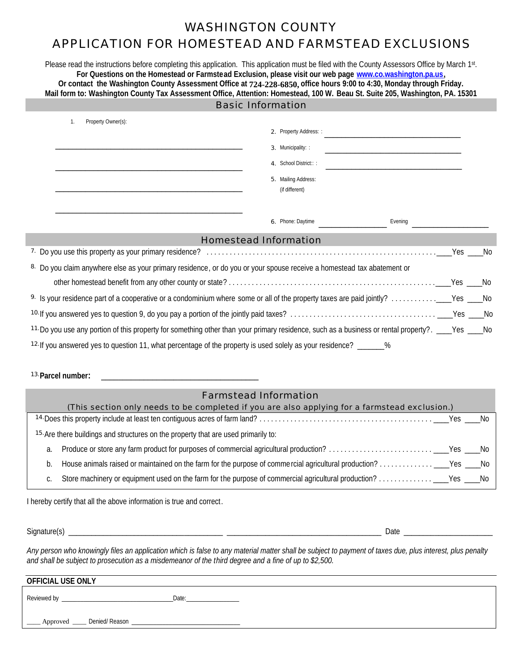## WASHINGTON COUNTY

## APPLICATION FOR HOMESTEAD AND FARMSTEAD EXCLUSIONS

Please read the instructions before completing this application. This application must be filed with the County Assessors Office by March 1st. **For Questions on the Homestead or Farmstead Exclusion, please visit our web page www.co.washington.pa.us,**  Or contact the Washington County Assessment Office at 724-228-6850, office hours 9:00 to 4:30, Monday through Friday. **Mail form to: Washington County Tax Assessment Office, Attention: Homestead, 100 W. Beau St. Suite 205, Washington, PA. 15301**

| <b>Basic Information</b>                                                                                               |                                                                                                                                                     |  |  |
|------------------------------------------------------------------------------------------------------------------------|-----------------------------------------------------------------------------------------------------------------------------------------------------|--|--|
| Property Owner(s):<br>$\mathbf{1}$ .                                                                                   | 2. Property Address: :<br>3. Municipality: :<br>4. School District:::<br>5. Mailing Address:<br>(if different)                                      |  |  |
|                                                                                                                        |                                                                                                                                                     |  |  |
|                                                                                                                        | <b>Homestead Information</b>                                                                                                                        |  |  |
|                                                                                                                        |                                                                                                                                                     |  |  |
| 8. Do you claim anywhere else as your primary residence, or do you or your spouse receive a homestead tax abatement or |                                                                                                                                                     |  |  |
|                                                                                                                        |                                                                                                                                                     |  |  |
|                                                                                                                        |                                                                                                                                                     |  |  |
|                                                                                                                        |                                                                                                                                                     |  |  |
|                                                                                                                        | 11. Do you use any portion of this property for something other than your primary residence, such as a business or rental property?. ____Yes ____No |  |  |
| 12. If you answered yes to question 11, what percentage of the property is used solely as your residence? ______%      |                                                                                                                                                     |  |  |

**13.Parcel number:** \_\_\_\_\_\_\_\_\_\_\_\_\_\_\_\_\_\_\_\_\_\_\_\_\_\_\_\_\_\_\_\_\_\_\_\_\_

#### Farmstead Information

| (This section only needs to be completed if you are also applying for a farmstead exclusion.) |                                                                                    |  |  |  |
|-----------------------------------------------------------------------------------------------|------------------------------------------------------------------------------------|--|--|--|
|                                                                                               |                                                                                    |  |  |  |
|                                                                                               | 15. Are there buildings and structures on the property that are used primarily to: |  |  |  |
| a.                                                                                            |                                                                                    |  |  |  |
| b.                                                                                            |                                                                                    |  |  |  |
|                                                                                               |                                                                                    |  |  |  |

I hereby certify that all the above information is true and correct.

Signature(s) \_\_\_\_\_\_\_\_\_\_\_\_\_\_\_\_\_\_\_\_\_\_\_\_\_\_\_\_\_\_\_\_\_\_\_\_\_\_\_\_ \_\_\_\_\_\_\_\_\_\_\_\_\_\_\_\_\_\_\_\_\_\_\_\_\_\_\_\_\_\_\_\_\_\_\_\_\_\_\_\_ Date \_\_\_\_\_\_\_\_\_\_\_\_\_\_\_\_\_\_\_\_\_\_\_

*Any person who knowingly files an application which is false to any material matter shall be subject to payment of taxes due, plus interest, plus penalty and shall be subject to prosecution as a misdemeanor of the third degree and a fine of up to \$2,500.* 

| OFFICIAL USE ONLY                  |       |  |  |  |
|------------------------------------|-------|--|--|--|
| Reviewed by                        | Date: |  |  |  |
| ____ Approved ____ Denied/Reason _ |       |  |  |  |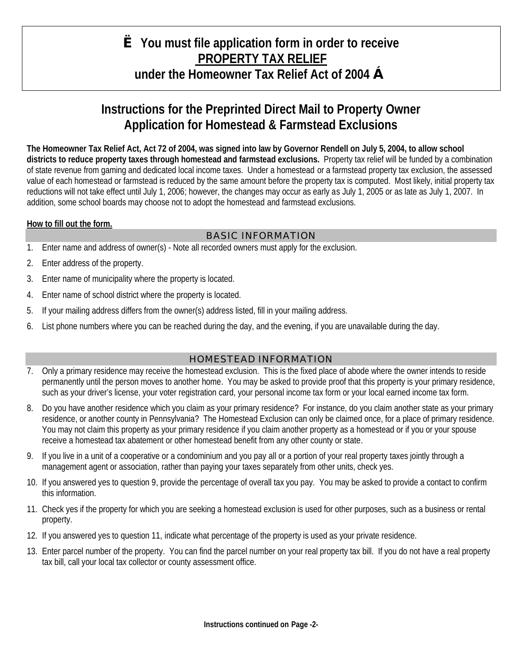# **è You must file application form in order to receive PROPERTY TAX RELIEF under the Homeowner Tax Relief Act of 2004 ç**

# **Instructions for the Preprinted Direct Mail to Property Owner Application for Homestead & Farmstead Exclusions**

**The Homeowner Tax Relief Act, Act 72 of 2004, was signed into law by Governor Rendell on July 5, 2004, to allow school districts to reduce property taxes through homestead and farmstead exclusions.** Property tax relief will be funded by a combination of state revenue from gaming and dedicated local income taxes. Under a homestead or a farmstead property tax exclusion, the assessed value of each homestead or farmstead is reduced by the same amount before the property tax is computed. Most likely, initial property tax reductions will not take effect until July 1, 2006; however, the changes may occur as early as July 1, 2005 or as late as July 1, 2007. In addition, some school boards may choose not to adopt the homestead and farmstead exclusions.

### **How to fill out the form.**

### BASIC INFORMATION

- 1. Enter name and address of owner(s) Note all recorded owners must apply for the exclusion.
- 2. Enter address of the property.
- 3. Enter name of municipality where the property is located.
- 4. Enter name of school district where the property is located.
- 5. If your mailing address differs from the owner(s) address listed, fill in your mailing address.
- 6. List phone numbers where you can be reached during the day, and the evening, if you are unavailable during the day.

### HOMESTEAD INFORMATION

- 7. Only a primary residence may receive the homestead exclusion. This is the fixed place of abode where the owner intends to reside permanently until the person moves to another home. You may be asked to provide proof that this property is your primary residence, such as your driver's license, your voter registration card, your personal income tax form or your local earned income tax form.
- 8. Do you have another residence which you claim as your primary residence? For instance, do you claim another state as your primary residence, or another county in Pennsylvania? The Homestead Exclusion can only be claimed once, for a place of primary residence. You may not claim this property as your primary residence if you claim another property as a homestead or if you or your spouse receive a homestead tax abatement or other homestead benefit from any other county or state.
- 9. If you live in a unit of a cooperative or a condominium and you pay all or a portion of your real property taxes jointly through a management agent or association, rather than paying your taxes separately from other units, check yes.
- 10. If you answered yes to question 9, provide the percentage of overall tax you pay. You may be asked to provide a contact to confirm this information.
- 11. Check yes if the property for which you are seeking a homestead exclusion is used for other purposes, such as a business or rental property.
- 12. If you answered yes to question 11, indicate what percentage of the property is used as your private residence.
- 13. Enter parcel number of the property. You can find the parcel number on your real property tax bill. If you do not have a real property tax bill, call your local tax collector or county assessment office.